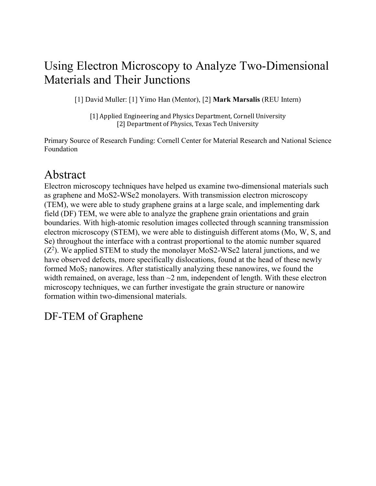## Using Electron Microscopy to Analyze Two-Dimensional Materials and Their Junctions

[1] David Muller: [1] Yimo Han (Mentor), [2] **Mark Marsalis** (REU Intern)

[1] Applied Engineering and Physics Department, Cornell University [2] Department of Physics, Texas Tech University

Primary Source of Research Funding: Cornell Center for Material Research and National Science Foundation

# Abstract

Electron microscopy techniques have helped us examine two-dimensional materials such as graphene and MoS2-WSe2 monolayers. With transmission electron microscopy (TEM), we were able to study graphene grains at a large scale, and implementing dark field (DF) TEM, we were able to analyze the graphene grain orientations and grain boundaries. With high-atomic resolution images collected through scanning transmission electron microscopy (STEM), we were able to distinguish different atoms (Mo, W, S, and Se) throughout the interface with a contrast proportional to the atomic number squared  $(Z^2)$ . We applied STEM to study the monolayer MoS2-WSe2 lateral junctions, and we have observed defects, more specifically dislocations, found at the head of these newly formed  $MoS<sub>2</sub>$  nanowires. After statistically analyzing these nanowires, we found the width remained, on average, less than  $\sim$ 2 nm, independent of length. With these electron microscopy techniques, we can further investigate the grain structure or nanowire formation within two-dimensional materials.

## DF-TEM of Graphene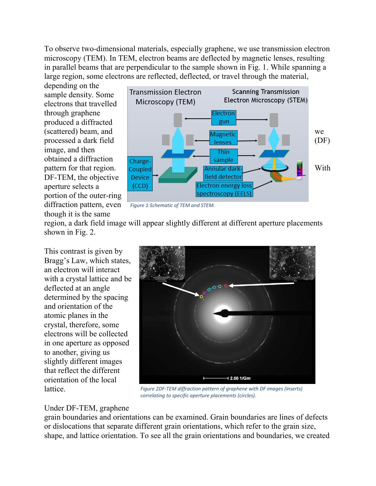To observe two-dimensional materials, especially graphene, we use transmission electron microscopy (TEM). In TEM, electron beams are deflected by magnetic lenses, resulting in parallel beams that are perpendicular to the sample shown in Fig. 1. While spanning a large region, some electrons are reflected, deflected, or travel through the material,

depending on the sample density. Some electrons that travelled through graphene produced a diffracted image, and then obtained a diffraction DF-TEM, the objective aperture selects a portion of the outer-ring diffraction pattern, even though it is the same



*Figure 1:Schematic of TEM and STEM.*

region, a dark field image will appear slightly different at different aperture placements shown in Fig. 2.

This contrast is given by Bragg's Law, which states, an electron will interact with a crystal lattice and be deflected at an angle determined by the spacing and orientation of the atomic planes in the crystal, therefore, some electrons will be collected in one aperture as opposed to another, giving us slightly different images that reflect the different orientation of the local lattice.



*Figure 2DF-TEM diffraction pattern of graphene with DF images (inserts) correlating to specific aperture placements (circles).*

#### Under DF-TEM, graphene

grain boundaries and orientations can be examined. Grain boundaries are lines of defects or dislocations that separate different grain orientations, which refer to the grain size, shape, and lattice orientation. To see all the grain orientations and boundaries, we created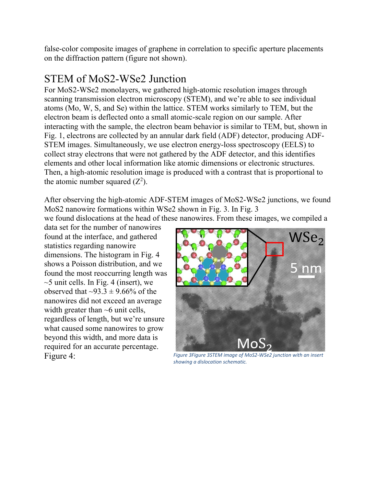false-color composite images of graphene in correlation to specific aperture placements on the diffraction pattern (figure not shown).

### STEM of MoS2-WSe2 Junction

For MoS2-WSe2 monolayers, we gathered high-atomic resolution images through scanning transmission electron microscopy (STEM), and we're able to see individual atoms (Mo, W, S, and Se) within the lattice. STEM works similarly to TEM, but the electron beam is deflected onto a small atomic-scale region on our sample. After interacting with the sample, the electron beam behavior is similar to TEM, but, shown in Fig. 1, electrons are collected by an annular dark field (ADF) detector, producing ADF-STEM images. Simultaneously, we use electron energy-loss spectroscopy (EELS) to collect stray electrons that were not gathered by the ADF detector, and this identifies elements and other local information like atomic dimensions or electronic structures. Then, a high-atomic resolution image is produced with a contrast that is proportional to the atomic number squared  $(Z^2)$ .

After observing the high-atomic ADF-STEM images of MoS2-WSe2 junctions, we found MoS2 nanowire formations within WSe2 shown in Fig. 3. In Fig. 3

we found dislocations at the head of these nanowires. From these images, we compiled a

data set for the number of nanowires found at the interface, and gathered statistics regarding nanowire dimensions. The histogram in Fig. 4 shows a Poisson distribution, and we found the most reoccurring length was  $\sim$ 5 unit cells. In Fig. 4 (insert), we observed that  $\sim$ 93.3  $\pm$  9.66% of the nanowires did not exceed an average width greater than  $~6$  unit cells, regardless of length, but we're unsure what caused some nanowires to grow beyond this width, and more data is required for an accurate percentage.



Figure 4: *Figure 3Figure 3STEM image of MoS2-WSe2 junction with an insert showing a dislocation schematic.*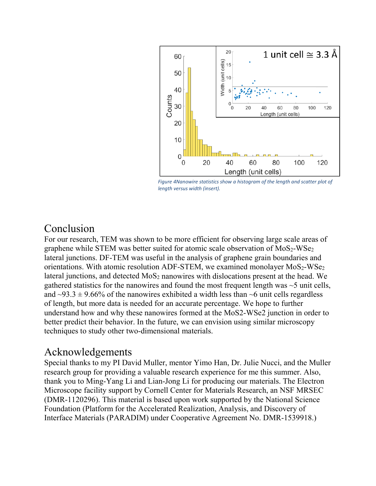

*Figure 4Nanowire statistics show a histogram of the length and scatter plot of length versus width (insert).*

#### Conclusion

For our research, TEM was shown to be more efficient for observing large scale areas of graphene while STEM was better suited for atomic scale observation of  $MoS<sub>2</sub>-WSe<sub>2</sub>$ lateral junctions. DF-TEM was useful in the analysis of graphene grain boundaries and orientations. With atomic resolution ADF-STEM, we examined monolayer  $MoS<sub>2</sub>-WSe<sub>2</sub>$ lateral junctions, and detected  $MoS<sub>2</sub>$  nanowires with dislocations present at the head. We gathered statistics for the nanowires and found the most frequent length was  $\sim$ 5 unit cells, and  $\sim$ 93.3  $\pm$  9.66% of the nanowires exhibited a width less than  $\sim$ 6 unit cells regardless of length, but more data is needed for an accurate percentage. We hope to further understand how and why these nanowires formed at the MoS2-WSe2 junction in order to better predict their behavior. In the future, we can envision using similar microscopy techniques to study other two-dimensional materials.

### Acknowledgements

Special thanks to my PI David Muller, mentor Yimo Han, Dr. Julie Nucci, and the Muller research group for providing a valuable research experience for me this summer. Also, thank you to Ming-Yang Li and Lian-Jong Li for producing our materials. The Electron Microscope facility support by Cornell Center for Materials Research, an NSF MRSEC (DMR-1120296). This material is based upon work supported by the National Science Foundation (Platform for the Accelerated Realization, Analysis, and Discovery of Interface Materials (PARADIM) under Cooperative Agreement No. DMR-1539918.)